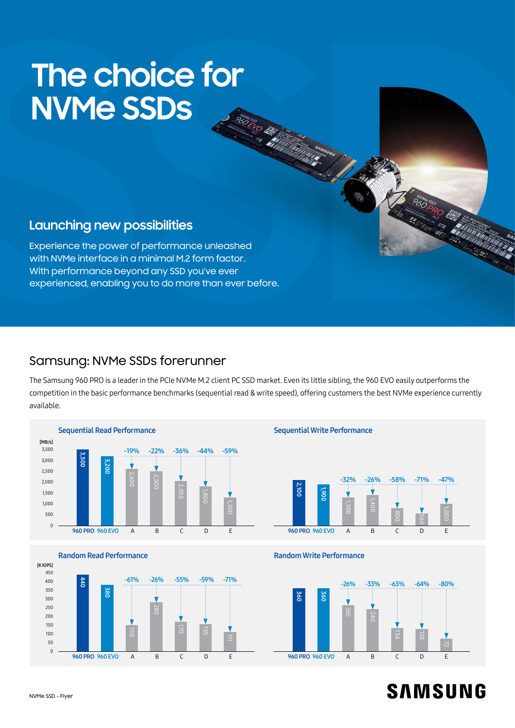# **The choice for NVMe SSDs**

# **Launching new possibilities**

Experience the power of performance unleashed with NVMe interface in a minimal M.2 form factor. With performance beyond any SSD you've ever experienced, enabling you to do more than ever before.

## Samsung: NVMe SSDs forerunner

The Samsung 960 PRO is a leader in the PCIe NVMe M.2 client PC SSD market. Even its little sibling, the 960 EVO easily outperforms the competition in the basic performance benchmarks (sequential read & write speed), offering customers the best NVMe experience currently available.









# **SAMSUNG**